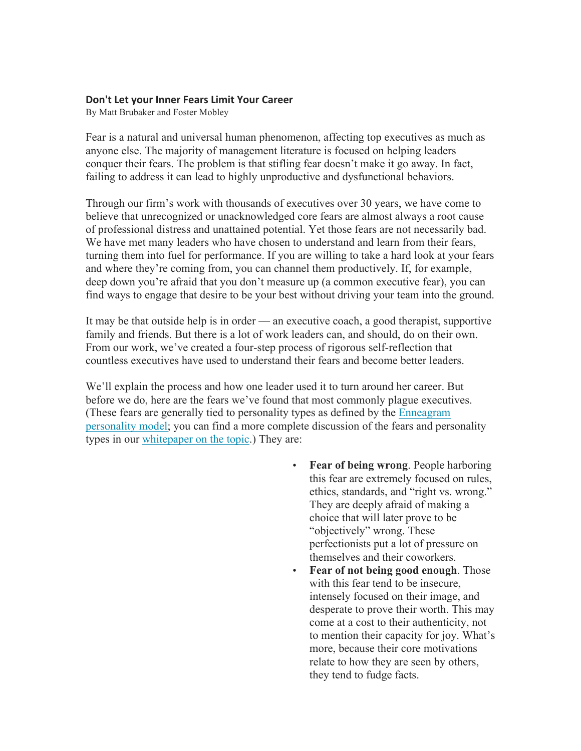## **Don't Let your Inner Fears Limit Your Career**

By Matt Brubaker and Foster Mobley

Fear is a natural and universal human phenomenon, affecting top executives as much as anyone else. The majority of management literature is focused on helping leaders conquer their fears. The problem is that stifling fear doesn't make it go away. In fact, failing to address it can lead to highly unproductive and dysfunctional behaviors.

Through our firm's work with thousands of executives over 30 years, we have come to believe that unrecognized or unacknowledged core fears are almost always a root cause of professional distress and unattained potential. Yet those fears are not necessarily bad. We have met many leaders who have chosen to understand and learn from their fears, turning them into fuel for performance. If you are willing to take a hard look at your fears and where they're coming from, you can channel them productively. If, for example, deep down you're afraid that you don't measure up (a common executive fear), you can find ways to engage that desire to be your best without driving your team into the ground.

It may be that outside help is in order — an executive coach, a good therapist, supportive family and friends. But there is a lot of work leaders can, and should, do on their own. From our work, we've created a four-step process of rigorous self-reflection that countless executives have used to understand their fears and become better leaders.

We'll explain the process and how one leader used it to turn around her career. But before we do, here are the fears we've found that most commonly plague executives. (These fears are generally tied to personality types as defined by the Enneagram personality model; you can find a more complete discussion of the fears and personality types in our whitepaper on the topic.) They are:

- **Fear of being wrong**. People harboring this fear are extremely focused on rules, ethics, standards, and "right vs. wrong." They are deeply afraid of making a choice that will later prove to be "objectively" wrong. These perfectionists put a lot of pressure on themselves and their coworkers.
- **Fear of not being good enough**. Those with this fear tend to be insecure, intensely focused on their image, and desperate to prove their worth. This may come at a cost to their authenticity, not to mention their capacity for joy. What's more, because their core motivations relate to how they are seen by others, they tend to fudge facts.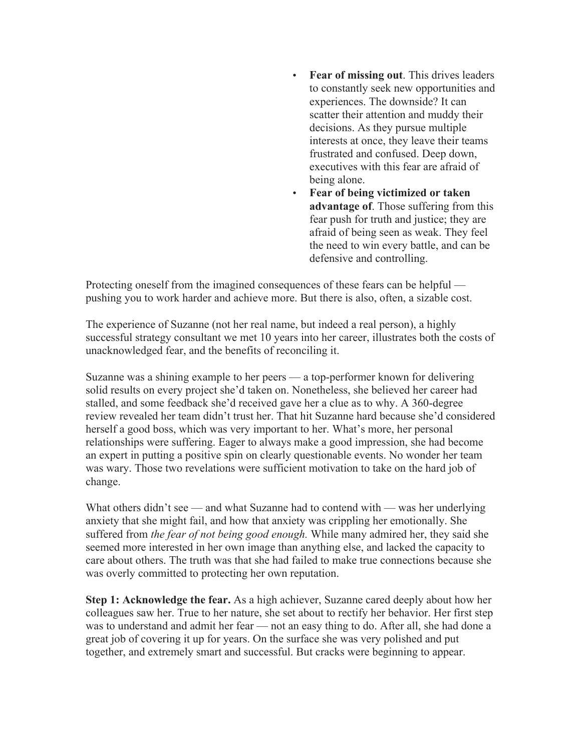- **Fear of missing out**. This drives leaders to constantly seek new opportunities and experiences. The downside? It can scatter their attention and muddy their decisions. As they pursue multiple interests at once, they leave their teams frustrated and confused. Deep down, executives with this fear are afraid of being alone.
- **Fear of being victimized or taken advantage of**. Those suffering from this fear push for truth and justice; they are afraid of being seen as weak. They feel the need to win every battle, and can be defensive and controlling.

Protecting oneself from the imagined consequences of these fears can be helpful pushing you to work harder and achieve more. But there is also, often, a sizable cost.

The experience of Suzanne (not her real name, but indeed a real person), a highly successful strategy consultant we met 10 years into her career, illustrates both the costs of unacknowledged fear, and the benefits of reconciling it.

Suzanne was a shining example to her peers — a top-performer known for delivering solid results on every project she'd taken on. Nonetheless, she believed her career had stalled, and some feedback she'd received gave her a clue as to why. A 360-degree review revealed her team didn't trust her. That hit Suzanne hard because she'd considered herself a good boss, which was very important to her. What's more, her personal relationships were suffering. Eager to always make a good impression, she had become an expert in putting a positive spin on clearly questionable events. No wonder her team was wary. Those two revelations were sufficient motivation to take on the hard job of change.

What others didn't see — and what Suzanne had to contend with — was her underlying anxiety that she might fail, and how that anxiety was crippling her emotionally. She suffered from *the fear of not being good enough.* While many admired her, they said she seemed more interested in her own image than anything else, and lacked the capacity to care about others. The truth was that she had failed to make true connections because she was overly committed to protecting her own reputation.

**Step 1: Acknowledge the fear.** As a high achiever, Suzanne cared deeply about how her colleagues saw her. True to her nature, she set about to rectify her behavior. Her first step was to understand and admit her fear — not an easy thing to do. After all, she had done a great job of covering it up for years. On the surface she was very polished and put together, and extremely smart and successful. But cracks were beginning to appear.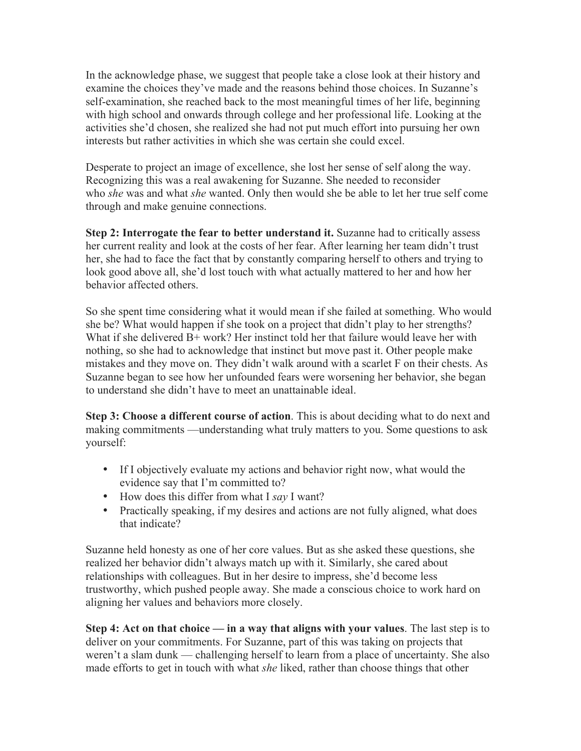In the acknowledge phase, we suggest that people take a close look at their history and examine the choices they've made and the reasons behind those choices. In Suzanne's self-examination, she reached back to the most meaningful times of her life, beginning with high school and onwards through college and her professional life. Looking at the activities she'd chosen, she realized she had not put much effort into pursuing her own interests but rather activities in which she was certain she could excel.

Desperate to project an image of excellence, she lost her sense of self along the way. Recognizing this was a real awakening for Suzanne. She needed to reconsider who *she* was and what *she* wanted. Only then would she be able to let her true self come through and make genuine connections.

**Step 2: Interrogate the fear to better understand it.** Suzanne had to critically assess her current reality and look at the costs of her fear. After learning her team didn't trust her, she had to face the fact that by constantly comparing herself to others and trying to look good above all, she'd lost touch with what actually mattered to her and how her behavior affected others.

So she spent time considering what it would mean if she failed at something. Who would she be? What would happen if she took on a project that didn't play to her strengths? What if she delivered B+ work? Her instinct told her that failure would leave her with nothing, so she had to acknowledge that instinct but move past it. Other people make mistakes and they move on. They didn't walk around with a scarlet F on their chests. As Suzanne began to see how her unfounded fears were worsening her behavior, she began to understand she didn't have to meet an unattainable ideal.

**Step 3: Choose a different course of action**. This is about deciding what to do next and making commitments —understanding what truly matters to you. Some questions to ask yourself:

- If I objectively evaluate my actions and behavior right now, what would the evidence say that I'm committed to?
- How does this differ from what I *say* I want?
- Practically speaking, if my desires and actions are not fully aligned, what does that indicate?

Suzanne held honesty as one of her core values. But as she asked these questions, she realized her behavior didn't always match up with it. Similarly, she cared about relationships with colleagues. But in her desire to impress, she'd become less trustworthy, which pushed people away. She made a conscious choice to work hard on aligning her values and behaviors more closely.

**Step 4: Act on that choice — in a way that aligns with your values**. The last step is to deliver on your commitments. For Suzanne, part of this was taking on projects that weren't a slam dunk — challenging herself to learn from a place of uncertainty. She also made efforts to get in touch with what *she* liked, rather than choose things that other